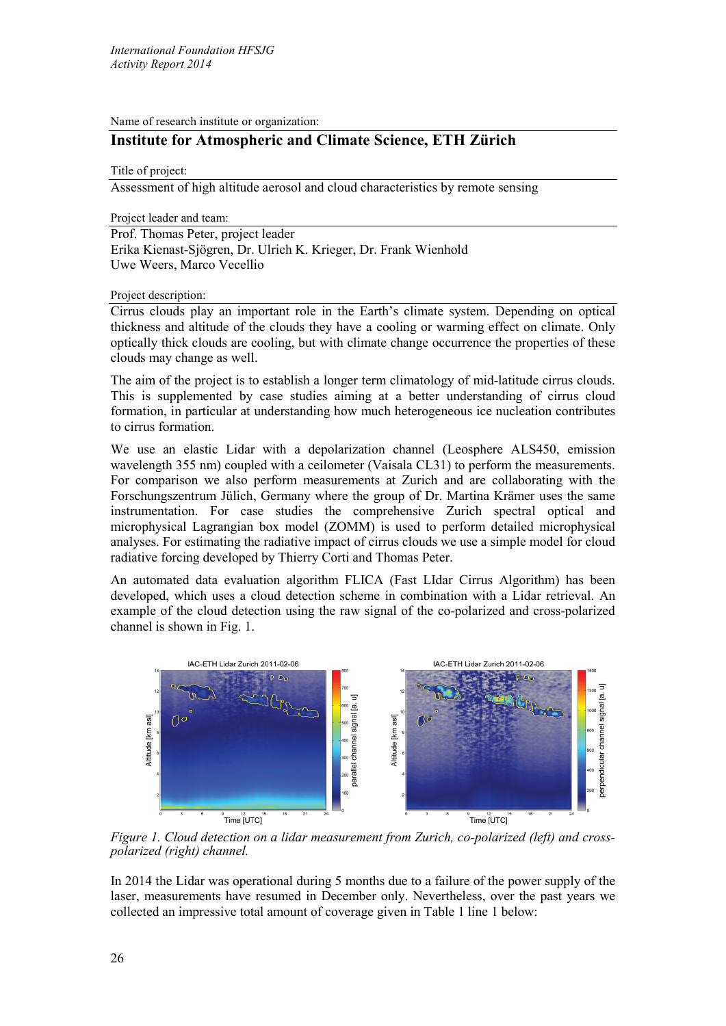Name of research institute or organization:

## **Institute for Atmospheric and Climate Science, ETH Zürich**

Title of project:

Assessment of high altitude aerosol and cloud characteristics by remote sensing

Project leader and team:

Prof. Thomas Peter, project leader Erika Kienast-Sjögren, Dr. Ulrich K. Krieger, Dr. Frank Wienhold Uwe Weers, Marco Vecellio

Project description:

Cirrus clouds play an important role in the Earth's climate system. Depending on optical thickness and altitude of the clouds they have a cooling or warming effect on climate. Only optically thick clouds are cooling, but with climate change occurrence the properties of these clouds may change as well.

The aim of the project is to establish a longer term climatology of mid-latitude cirrus clouds. This is supplemented by case studies aiming at a better understanding of cirrus cloud formation, in particular at understanding how much heterogeneous ice nucleation contributes to cirrus formation.

We use an elastic Lidar with a depolarization channel (Leosphere ALS450, emission wavelength 355 nm) coupled with a ceilometer (Vaisala CL31) to perform the measurements. For comparison we also perform measurements at Zurich and are collaborating with the Forschungszentrum Jülich, Germany where the group of Dr. Martina Krämer uses the same instrumentation. For case studies the comprehensive Zurich spectral optical and microphysical Lagrangian box model (ZOMM) is used to perform detailed microphysical analyses. For estimating the radiative impact of cirrus clouds we use a simple model for cloud radiative forcing developed by Thierry Corti and Thomas Peter.

An automated data evaluation algorithm FLICA (Fast LIdar Cirrus Algorithm) has been developed, which uses a cloud detection scheme in combination with a Lidar retrieval. An example of the cloud detection using the raw signal of the co-polarized and cross-polarized channel is shown in Fig. 1.



*Figure 1. Cloud detection on a lidar measurement from Zurich, co-polarized (left) and cross- polarized (right) channel.*

In 2014 the Lidar was operational during 5 months due to a failure of the power supply of the laser, measurements have resumed in December only. Nevertheless, over the past years we collected an impressive total amount of coverage given in Table 1 line 1 below: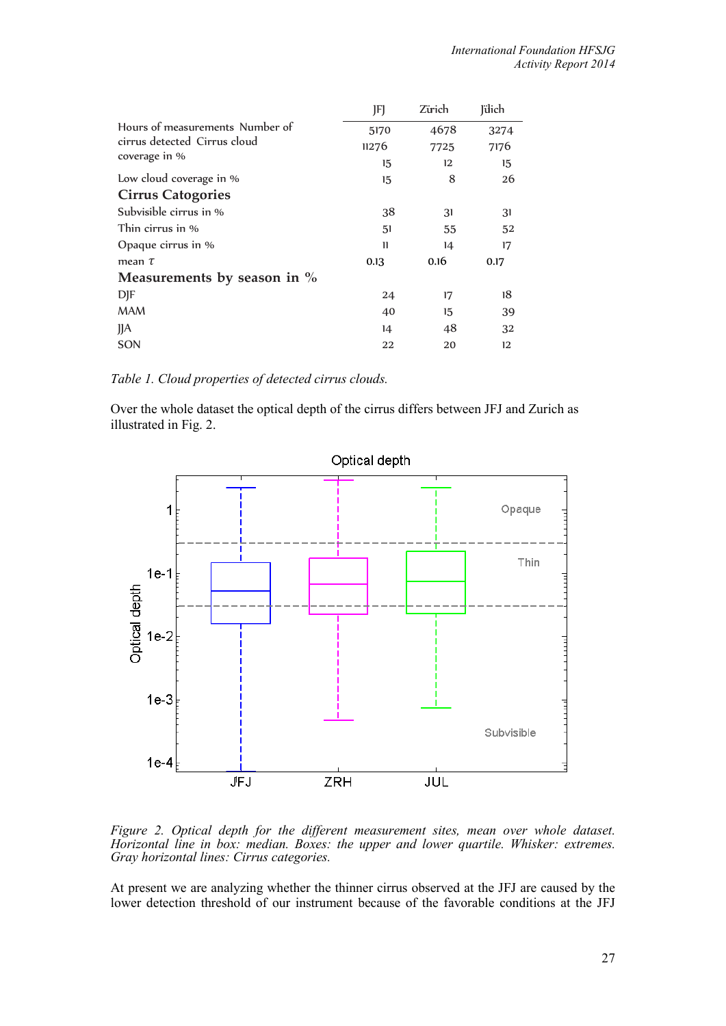|                                               | JF)          | Zürich | Jülich |
|-----------------------------------------------|--------------|--------|--------|
| Hours of measurements Number of               | 5170         | 4678   | 3274   |
| cirrus detected Cirrus cloud<br>coverage in % | 11276        | 7725   | 7176   |
|                                               | 15           | 12     | 15     |
| Low cloud coverage in %                       | 15           | 8      | 26     |
| <b>Cirrus Catogories</b>                      |              |        |        |
| Subvisible cirrus in %                        | 38           | 31     | 31     |
| Thin cirrus in %                              | 51           | 55     | 52     |
| Opaque cirrus in %                            | $\mathbf{1}$ | 14     | 17     |
| mean $\tau$                                   | 0.13         | 0.16   | 0.17   |
| Measurements by season in $\%$                |              |        |        |
| <b>DJF</b>                                    | 24           | 17     | 18     |
| <b>MAM</b>                                    | 40           | 15     | 39     |
| J/A                                           | 14           | 48     | 32     |
| SON                                           | 22           | 20     | 12     |

*Table 1. Cloud properties of detected cirrus clouds.*

Over the whole dataset the optical depth of the cirrus differs between JFJ and Zurich as illustrated in Fig. 2.



*Figure 2. Optical depth for the different measurement sites, mean over whole dataset. Horizontal line in box: median. Boxes: the upper and lower quartile. Whisker: extremes. Gray horizontal lines: Cirrus categories.*

At present we are analyzing whether the thinner cirrus observed at the JFJ are caused by the lower detection threshold of our instrument because of the favorable conditions at the JFJ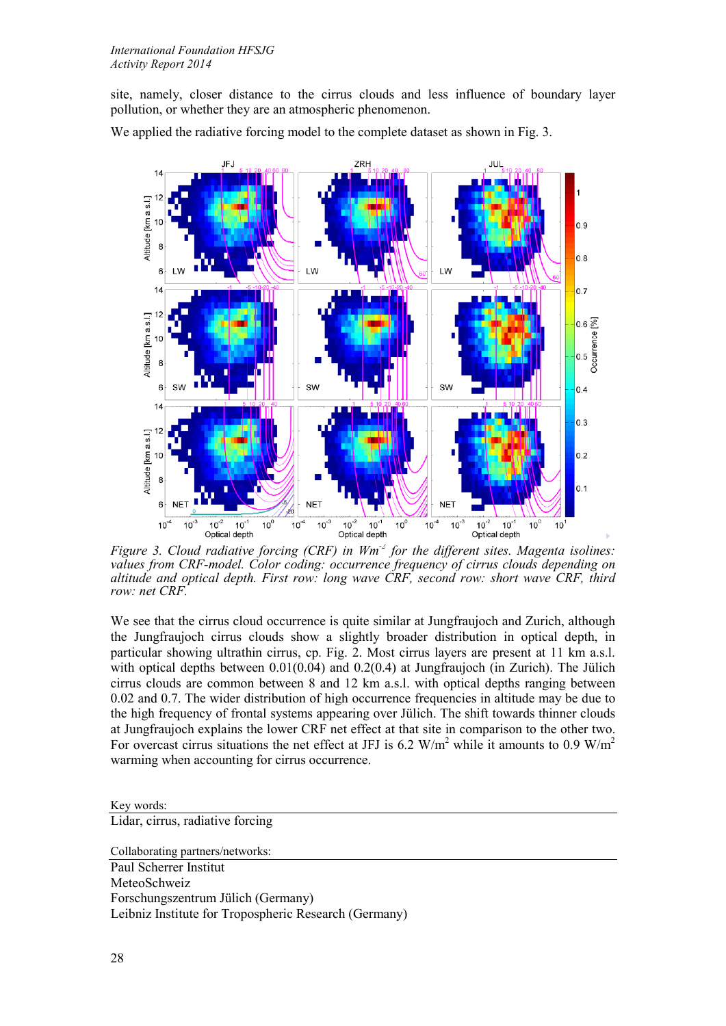site, namely, closer distance to the cirrus clouds and less influence of boundary layer pollution, or whether they are an atmospheric phenomenon.



We applied the radiative forcing model to the complete dataset as shown in Fig. 3.

*Figure 3. Cloud radiative forcing (CRF) in Wm-2 for the different sites. Magenta isolines: values from CRF-model. Color coding: occurrence frequency of cirrus clouds depending on altitude and optical depth. First row: long wave CRF, second row: short wave CRF, third row: net CRF.*

We see that the cirrus cloud occurrence is quite similar at Jungfraujoch and Zurich, although the Jungfraujoch cirrus clouds show a slightly broader distribution in optical depth, in particular showing ultrathin cirrus, cp. Fig. 2. Most cirrus layers are present at 11 km a.s.l. with optical depths between  $0.01(0.04)$  and  $0.2(0.4)$  at Jungfraujoch (in Zurich). The Jülich cirrus clouds are common between 8 and 12 km a.s.l. with optical depths ranging between 0.02 and 0.7. The wider distribution of high occurrence frequencies in altitude may be due to the high frequency of frontal systems appearing over Jülich. The shift towards thinner clouds at Jungfraujoch explains the lower CRF net effect at that site in comparison to the other two. For overcast cirrus situations the net effect at JFJ is 6.2 W/m<sup>2</sup> while it amounts to 0.9 W/m<sup>2</sup> warming when accounting for cirrus occurrence.

Key words:

Lidar, cirrus, radiative forcing

Collaborating partners/networks: Paul Scherrer Institut

MeteoSchweiz Forschungszentrum Jülich (Germany) Leibniz Institute for Tropospheric Research (Germany)